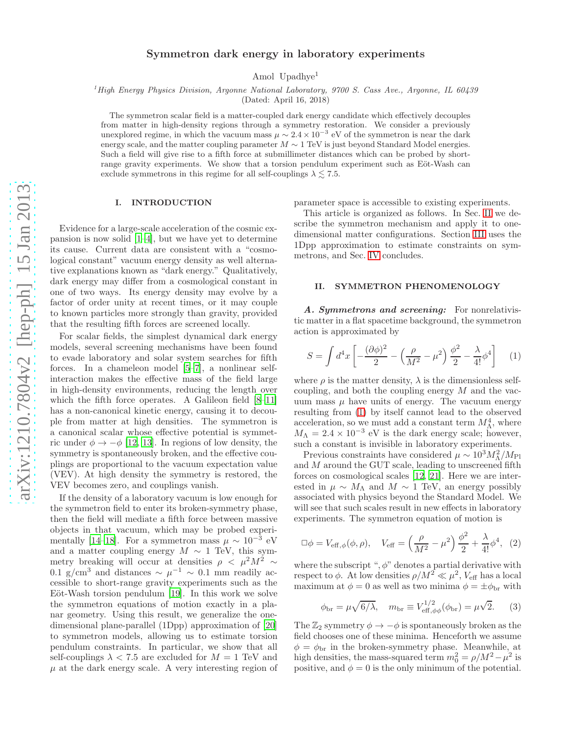# Symmetron dark energy in laboratory experiments

Amol Upadhye<sup>1</sup>

<sup>1</sup> High Energy Physics Division, Argonne National Laboratory, 9700 S. Cass Ave., Argonne, IL 60439

(Dated: April 16, 2018)

The symmetron scalar field is a matter-coupled dark energy candidate which effectively decouples from matter in high-density regions through a symmetry restoration. We consider a previously unexplored regime, in which the vacuum mass  $\mu \sim 2.4 \times 10^{-3}$  eV of the symmetron is near the dark energy scale, and the matter coupling parameter  $M \sim 1$  TeV is just beyond Standard Model energies. Such a field will give rise to a fifth force at submillimeter distances which can be probed by shortrange gravity experiments. We show that a torsion pendulum experiment such as Eöt-Wash can exclude symmetrons in this regime for all self-couplings  $\lambda \lesssim 7.5$ .

#### I. INTRODUCTION

Evidence for a large-scale acceleration of the cosmic expansion is now solid [\[1](#page-3-0)[–4](#page-3-1)], but we have yet to determine its cause. Current data are consistent with a "cosmological constant" vacuum energy density as well alternative explanations known as "dark energy." Qualitatively, dark energy may differ from a cosmological constant in one of two ways. Its energy density may evolve by a factor of order unity at recent times, or it may couple to known particles more strongly than gravity, provided that the resulting fifth forces are screened locally.

For scalar fields, the simplest dynamical dark energy models, several screening mechanisms have been found to evade laboratory and solar system searches for fifth forces. In a chameleon model [\[5](#page-3-2)[–7\]](#page-3-3), a nonlinear selfinteraction makes the effective mass of the field large in high-density environments, reducing the length over which the fifth force operates. A Galileon field [\[8](#page-3-4)[–11\]](#page-3-5) has a non-canonical kinetic energy, causing it to decouple from matter at high densities. The symmetron is a canonical scalar whose effective potential is symmetric under  $\phi \rightarrow -\phi$  [\[12,](#page-3-6) [13\]](#page-3-7). In regions of low density, the symmetry is spontaneously broken, and the effective couplings are proportional to the vacuum expectation value (VEV). At high density the symmetry is restored, the VEV becomes zero, and couplings vanish.

If the density of a laboratory vacuum is low enough for the symmetron field to enter its broken-symmetry phase, then the field will mediate a fifth force between massive objects in that vacuum, which may be probed experi-mentally [\[14](#page-3-8)[–18](#page-3-9)]. For a symmetron mass  $\mu \sim 10^{-3}$  eV and a matter coupling energy  $M \sim 1$  TeV, this symmetry breaking will occur at densities  $\rho \ < \mu^2 M^2 \sim$ 0.1 g/cm<sup>3</sup> and distances ~  $\mu^{-1}$  ~ 0.1 mm readily accessible to short-range gravity experiments such as the Eöt-Wash torsion pendulum  $[19]$ . In this work we solve the symmetron equations of motion exactly in a planar geometry. Using this result, we generalize the onedimensional plane-parallel (1Dpp) approximation of [\[20](#page-3-11)] to symmetron models, allowing us to estimate torsion pendulum constraints. In particular, we show that all self-couplings  $\lambda$  < 7.5 are excluded for  $M = 1$  TeV and  $\mu$  at the dark energy scale. A very interesting region of parameter space is accessible to existing experiments.

This article is organized as follows. In Sec. [II](#page-0-0) we describe the symmetron mechanism and apply it to onedimensional matter configurations. Section [III](#page-2-0) uses the 1Dpp approximation to estimate constraints on symmetrons, and Sec. [IV](#page-3-12) concludes.

# <span id="page-0-0"></span>II. SYMMETRON PHENOMENOLOGY

A. Symmetrons and screening: For nonrelativistic matter in a flat spacetime background, the symmetron action is approximated by

<span id="page-0-1"></span>
$$
S = \int d^4x \left[ -\frac{(\partial \phi)^2}{2} - \left( \frac{\rho}{M^2} - \mu^2 \right) \frac{\phi^2}{2} - \frac{\lambda}{4!} \phi^4 \right] \tag{1}
$$

where  $\rho$  is the matter density,  $\lambda$  is the dimensionless selfcoupling, and both the coupling energy  $M$  and the vacuum mass  $\mu$  have units of energy. The vacuum energy resulting from [\(1\)](#page-0-1) by itself cannot lead to the observed acceleration, so we must add a constant term  $M_{\Lambda}^4$ , where  $M_{\Lambda} = 2.4 \times 10^{-3}$  eV is the dark energy scale; however, such a constant is invisible in laboratory experiments.

Previous constraints have considered  $\mu \sim 10^3 M_\Lambda^2 / M_{\rm Pl}$ and M around the GUT scale, leading to unscreened fifth forces on cosmological scales [\[12](#page-3-6), [21\]](#page-3-13). Here we are interested in  $\mu \sim M_\Lambda$  and  $M \sim 1$  TeV, an energy possibly associated with physics beyond the Standard Model. We will see that such scales result in new effects in laboratory experiments. The symmetron equation of motion is

<span id="page-0-2"></span>
$$
\Box \phi = V_{\text{eff}, \phi}(\phi, \rho), \quad V_{\text{eff}} = \left(\frac{\rho}{M^2} - \mu^2\right) \frac{\phi^2}{2} + \frac{\lambda}{4!} \phi^4, \tag{2}
$$

where the subscript ",  $\phi$ " denotes a partial derivative with respect to  $\phi$ . At low densities  $\rho/M^2 \ll \mu^2$ ,  $V_{\text{eff}}$  has a local maximum at  $\phi = 0$  as well as two minima  $\phi = \pm \phi_{\text{br}}$  with

$$
\phi_{\rm br} = \mu \sqrt{6/\lambda}, \quad m_{\rm br} \equiv V_{\rm eff, \phi\phi}^{1/2}(\phi_{\rm br}) = \mu \sqrt{2}.
$$
 (3)

The  $\mathbb{Z}_2$  symmetry  $\phi \to -\phi$  is spontaneously broken as the field chooses one of these minima. Henceforth we assume  $\phi = \phi_{\text{br}}$  in the broken-symmetry phase. Meanwhile, at high densities, the mass-squared term  $m_0^2 = \rho/M^2 - \mu^2$  is positive, and  $\phi = 0$  is the only minimum of the potential.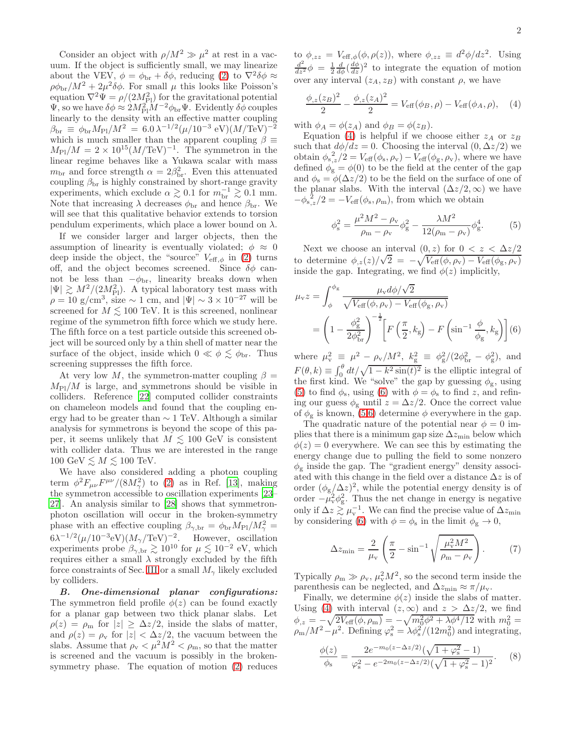Consider an object with  $\rho/M^2 \gg \mu^2$  at rest in a vacuum. If the object is sufficiently small, we may linearize about the VEV,  $\phi = \phi_{\text{br}} + \delta\phi$ , reducing [\(2\)](#page-0-2) to  $\nabla^2 \delta\phi \approx$  $\rho\phi_{\rm br}/M^2+2\mu^2\delta\phi$ . For small  $\mu$  this looks like Poisson's equation  $\nabla^2 \Psi = \rho/(2M_{\rm Pl}^2)$  for the gravitational potential  $\Psi$ , so we have  $\delta\phi \approx 2M_{\rm Pl}^2 M^{-2} \phi_{\rm br} \Psi$ . Evidently  $\delta\phi$  couples linearly to the density with an effective matter coupling  $\beta_{\rm br} \, \equiv \, \phi_{\rm br} M_{\rm Pl}/M^2 \, = \, 6.0 \, \lambda^{-1/2} (\mu/10^{-3}~\rm eV) (M/TeV)^{-2}$ which is much smaller than the apparent coupling  $\beta \equiv$  $M_{\text{Pl}}/M = 2 \times 10^{15} (M/\text{TeV})^{-1}$ . The symmetron in the linear regime behaves like a Yukawa scalar with mass  $m_{\text{br}}$  and force strength  $\alpha = 2\beta_{\text{br}}^2$ . Even this attenuated coupling  $\beta_{\rm br}$  is highly constrained by short-range gravity experiments, which exclude  $\alpha \gtrsim 0.1$  for  $m_{\text{br}}^{-1} \gtrsim 0.1$  mm. Note that increasing  $\lambda$  decreases  $\phi_{\text{br}}$  and hence  $\beta_{\text{br}}$ . We will see that this qualitative behavior extends to torsion pendulum experiments, which place a lower bound on  $\lambda$ .

If we consider larger and larger objects, then the assumption of linearity is eventually violated;  $\phi \approx 0$ deep inside the object, the "source"  $V_{\text{eff},\phi}$  in [\(2\)](#page-0-2) turns off, and the object becomes screened. Since  $\delta\phi$  cannot be less than  $-\phi_{\text{br}}$ , linearity breaks down when  $|\Psi| \gtrsim M^2/(2M_{\rm Pl}^2)$ . A typical laboratory test mass with  $\rho = 10$  g/cm<sup>3</sup>, size ~ 1 cm, and  $|\Psi| \sim 3 \times 10^{-27}$  will be screened for  $M \leq 100$  TeV. It is this screened, nonlinear regime of the symmetron fifth force which we study here. The fifth force on a test particle outside this screened object will be sourced only by a thin shell of matter near the surface of the object, inside which  $0 \ll \phi \lesssim \phi_{\rm br}$ . Thus screening suppresses the fifth force.

At very low M, the symmetron-matter coupling  $\beta =$  $M_{\rm Pl}/M$  is large, and symmetrons should be visible in colliders. Reference [\[22\]](#page-3-14) computed collider constraints on chameleon models and found that the coupling energy had to be greater than ∼ 1 TeV. Although a similar analysis for symmetrons is beyond the scope of this paper, it seems unlikely that  $M \leq 100$  GeV is consistent with collider data. Thus we are interested in the range 100 GeV  $\leq M \leq 100$  TeV.

We have also considered adding a photon coupling term  $\phi^2 F_{\mu\nu} F^{\mu\nu}/(8M_\gamma^2)$  to [\(2\)](#page-0-2) as in Ref. [\[13](#page-3-7)], making the symmetron accessible to oscillation experiments [\[23](#page-3-15)– [27\]](#page-3-16). An analysis similar to [\[28](#page-3-17)] shows that symmetronphoton oscillation will occur in the broken-symmetry phase with an effective coupling  $\beta_{\gamma, \text{br}} = \phi_{\text{br}} M_{\text{Pl}} / M_{\gamma}^2 =$  $6\lambda^{-1/2}(\mu/10^{-3}eV)(M_{\gamma}/TeV)^{-2}$ . However, oscillation experiments probe  $\beta_{\gamma, \text{br}} \gtrsim 10^{10}$  for  $\mu \lesssim 10^{-2}$  eV, which requires either a small  $\lambda$  strongly excluded by the fifth force constraints of Sec. [III](#page-2-0) or a small  $M_{\gamma}$  likely excluded by colliders.

B. One-dimensional planar configurations: The symmetron field profile  $\phi(z)$  can be found exactly for a planar gap between two thick planar slabs. Let  $\rho(z) = \rho_{\rm m}$  for  $|z| \geq \Delta z/2$ , inside the slabs of matter, and  $\rho(z) = \rho_v$  for  $|z| < \Delta z/2$ , the vacuum between the slabs. Assume that  $\rho_{\rm v} < \mu^2 M^2 < \rho_{\rm m}$ , so that the matter is screened and the vacuum is possibly in the brokensymmetry phase. The equation of motion [\(2\)](#page-0-2) reduces

to  $\phi_{,zz} = V_{\text{eff},\phi}(\phi,\rho(z))$ , where  $\phi_{,zz} \equiv d^2\phi/dz^2$ . Using  $\frac{d^2}{dz^2}\phi = \frac{1}{2}\frac{d}{d\phi}\left(\frac{d\phi}{dz}\right)^2$  to integrate the equation of motion over any interval  $(z_A, z_B)$  with constant  $\rho$ , we have

<span id="page-1-0"></span>
$$
\frac{\phi_{,z}(z_B)^2}{2} - \frac{\phi_{,z}(z_A)^2}{2} = V_{\text{eff}}(\phi_B, \rho) - V_{\text{eff}}(\phi_A, \rho), \quad (4)
$$

with  $\phi_A = \phi(z_A)$  and  $\phi_B = \phi(z_B)$ .

Equation [\(4\)](#page-1-0) is helpful if we choose either  $z_A$  or  $z_B$ such that  $d\phi/dz = 0$ . Choosing the interval  $(0, \Delta z/2)$  we obtain  $\phi_{s,z}/2 = V_{\text{eff}}(\phi_s, \rho_v) - V_{\text{eff}}(\phi_g, \rho_v)$ , where we have defined  $\phi_{g} = \phi(0)$  to be the field at the center of the gap and  $\phi_s = \phi(\Delta z/2)$  to be the field on the surface of one of the planar slabs. With the interval  $(\Delta z/2, \infty)$  we have  $-\phi_{s,z}^2/2 = -V_{\text{eff}}(\phi_s, \rho_m)$ , from which we obtain

<span id="page-1-1"></span>
$$
\phi_{\rm s}^2 = \frac{\mu^2 M^2 - \rho_{\rm v}}{\rho_{\rm m} - \rho_{\rm v}} \phi_{\rm g}^2 - \frac{\lambda M^2}{12(\rho_{\rm m} - \rho_{\rm v})} \phi_{\rm g}^4. \tag{5}
$$

Next we choose an interval  $(0, z)$  for  $0 < z < \Delta z/2$ to determine  $\phi_{,z}(z)/\sqrt{2} = -\sqrt{V_{\text{eff}}(\phi, \rho_v) - V_{\text{eff}}(\phi_g, \rho_v)}$ inside the gap. Integrating, we find  $\phi(z)$  implicitly,

<span id="page-1-2"></span>
$$
\mu_{\rm v} z = \int_{\phi}^{\phi_{\rm g}} \frac{\mu_{\rm v} d\phi / \sqrt{2}}{\sqrt{V_{\rm eff}(\phi, \rho_{\rm v}) - V_{\rm eff}(\phi_{\rm g}, \rho_{\rm v})}}
$$

$$
= \left(1 - \frac{\phi_{\rm g}^2}{2\phi_{\rm br}^2}\right)^{-\frac{1}{2}} \left[F\left(\frac{\pi}{2}, k_{\rm g}\right) - F\left(\sin^{-1}\frac{\phi}{\phi_{\rm g}}, k_{\rm g}\right)\right](6)
$$

where  $\mu_{\rm v}^2 \equiv \mu^2 - \rho_{\rm v}/M^2$ ,  $k_{\rm g}^2 \equiv \phi_{\rm g}^2/(2\phi_{\rm br}^2 - \phi_{\rm g}^2)$ , and  $F(\theta, k) \equiv \int_0^{\theta} dt / \sqrt{1 - k^2 \sin(t)^2}$  is the elliptic integral of the first kind. We "solve" the gap by guessing  $\phi_{\rm g}$ , using [\(5\)](#page-1-1) to find  $\phi_s$ , using [\(6\)](#page-1-2) with  $\phi = \phi_s$  to find z, and refining our guess  $\phi_{g}$  until  $z = \Delta z/2$ . Once the correct value of  $\phi_{g}$  is known, [\(5](#page-1-1)[,6\)](#page-1-2) determine  $\phi$  everywhere in the gap.

The quadratic nature of the potential near  $\phi = 0$  implies that there is a minimum gap size  $\Delta z_{\text{min}}$  below which  $\phi(z) = 0$  everywhere. We can see this by estimating the energy change due to pulling the field to some nonzero  $\phi_{g}$  inside the gap. The "gradient energy" density associated with this change in the field over a distance  $\Delta z$  is of order  $(\phi_{g}/\Delta z)^{2}$ , while the potential energy density is of order  $-\mu_v^2 \phi_{\rm g}^2$ . Thus the net change in energy is negative only if  $\Delta z \gtrsim \mu_v^{-1}$ . We can find the precise value of  $\Delta z_{\rm min}$ by considering [\(6\)](#page-1-2) with  $\phi = \phi_s$  in the limit  $\phi_g \to 0$ ,

$$
\Delta z_{\min} = \frac{2}{\mu_{\rm v}} \left( \frac{\pi}{2} - \sin^{-1} \sqrt{\frac{\mu_{\rm v}^2 M^2}{\rho_{\rm m} - \rho_{\rm v}}} \right). \tag{7}
$$

Typically  $\rho_m \gg \rho_v$ ,  $\mu_v^2 M^2$ , so the second term inside the parenthesis can be neglected, and  $\Delta z_{\rm min} \approx \pi / \mu_{\rm v}$ .

Finally, we determine  $\phi(z)$  inside the slabs of matter. Using [\(4\)](#page-1-0) with interval  $(z, \infty)$  and  $z > \Delta z/2$ , we find  $\phi_{,z} = -\sqrt{2V_{\text{eff}}(\phi,\rho_{\text{m}})} = -\sqrt{m_0^2\phi^2 + \lambda\phi^4/12}$  with  $m_0^2 =$  $\rho_{\rm m}/M^2-\mu^2$ . Defining  $\varphi_{\rm s}^2=\lambda\phi_{\rm s}^2/(12m_0^2)$  and integrating,

<span id="page-1-3"></span>
$$
\frac{\phi(z)}{\phi_s} = \frac{2e^{-m_0(z - \Delta z/2)}(\sqrt{1 + \varphi_s^2} - 1)}{\varphi_s^2 - e^{-2m_0(z - \Delta z/2)}(\sqrt{1 + \varphi_s^2} - 1)^2}.
$$
 (8)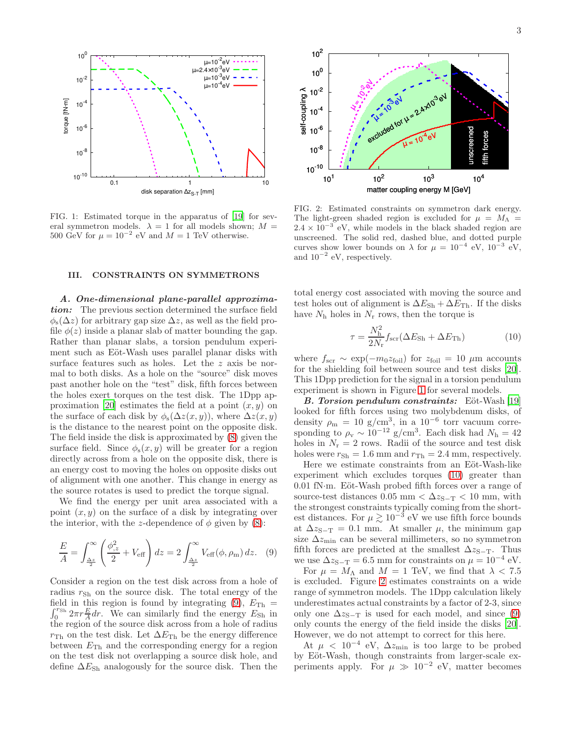

<span id="page-2-2"></span>FIG. 1: Estimated torque in the apparatus of [\[19](#page-3-10)] for several symmetron models.  $\lambda = 1$  for all models shown;  $M =$ 500 GeV for  $\mu = 10^{-2}$  eV and  $M = 1$  TeV otherwise.

## <span id="page-2-0"></span>III. CONSTRAINTS ON SYMMETRONS

A. One-dimensional plane-parallel approximation: The previous section determined the surface field  $\phi_s(\Delta z)$  for arbitrary gap size  $\Delta z$ , as well as the field profile  $\phi(z)$  inside a planar slab of matter bounding the gap. Rather than planar slabs, a torsion pendulum experiment such as Eöt-Wash uses parallel planar disks with surface features such as holes. Let the z axis be normal to both disks. As a hole on the "source" disk moves past another hole on the "test" disk, fifth forces between the holes exert torques on the test disk. The 1Dpp ap-proximation [\[20](#page-3-11)] estimates the field at a point  $(x, y)$  on the surface of each disk by  $\phi_s(\Delta z(x,y))$ , where  $\Delta z(x,y)$ is the distance to the nearest point on the opposite disk. The field inside the disk is approximated by [\(8\)](#page-1-3) given the surface field. Since  $\phi_{s}(x, y)$  will be greater for a region directly across from a hole on the opposite disk, there is an energy cost to moving the holes on opposite disks out of alignment with one another. This change in energy as the source rotates is used to predict the torque signal.

We find the energy per unit area associated with a point  $(x, y)$  on the surface of a disk by integrating over the interior, with the z-dependence of  $\phi$  given by [\(8\)](#page-1-3):

<span id="page-2-1"></span>
$$
\frac{E}{A} = \int_{\frac{\Delta z}{2}}^{\infty} \left( \frac{\phi_{,z}^2}{2} + V_{\text{eff}} \right) dz = 2 \int_{\frac{\Delta z}{2}}^{\infty} V_{\text{eff}}(\phi, \rho_{\text{m}}) dz. \quad (9)
$$

Consider a region on the test disk across from a hole of radius  $r_{\rm Sh}$  on the source disk. The total energy of the field in this region is found by integrating [\(9\)](#page-2-1),  $E_{\text{Th}} =$  $\int_0^{r_{\rm Sh}}$ <sup>T<sub>Sh</sub>  $2\pi r \frac{E}{A} dr$ . We can similarly find the energy  $E_{\text{Sh}}$  in</sup> the region of the source disk across from a hole of radius  $r_{\text{Th}}$  on the test disk. Let  $\Delta E_{\text{Th}}$  be the energy difference between  $E_{\text{Th}}$  and the corresponding energy for a region on the test disk not overlapping a source disk hole, and define  $\Delta E_{\rm Sh}$  analogously for the source disk. Then the



<span id="page-2-4"></span>FIG. 2: Estimated constraints on symmetron dark energy. The light-green shaded region is excluded for  $\mu = M_{\Lambda}$  $2.4 \times 10^{-3}$  eV, while models in the black shaded region are unscreened. The solid red, dashed blue, and dotted purple curves show lower bounds on  $\lambda$  for  $\mu = 10^{-4}$  eV,  $10^{-3}$  eV, and  $10^{-2}$  eV, respectively.

total energy cost associated with moving the source and test holes out of alignment is  $\Delta E_{\rm Sh} + \Delta E_{\rm Th}$ . If the disks have  $N_h$  holes in  $N_r$  rows, then the torque is

<span id="page-2-3"></span>
$$
\tau = \frac{N_{\rm h}^2}{2N_{\rm r}} f_{\rm scr} (\Delta E_{\rm Sh} + \Delta E_{\rm Th}) \tag{10}
$$

where  $f_{\rm scr} \sim \exp(-m_0 z_{\rm foil})$  for  $z_{\rm foil} = 10 \ \mu \rm m$  accounts for the shielding foil between source and test disks [\[20\]](#page-3-11). This 1Dpp prediction for the signal in a torsion pendulum experiment is shown in Figure [1](#page-2-2) for several models.

**B.** Torsion pendulum constraints: Eöt-Wash [\[19](#page-3-10)] looked for fifth forces using two molybdenum disks, of density  $\rho_{\rm m} = 10 \text{ g/cm}^3$ , in a  $10^{-6}$  torr vacuum corresponding to  $\rho_v \sim 10^{-12}$  g/cm<sup>3</sup>. Each disk had  $N_h = 42$ holes in  $N_r = 2$  rows. Radii of the source and test disk holes were  $r_{\text{Sh}} = 1.6$  mm and  $r_{\text{Th}} = 2.4$  mm, respectively.

Here we estimate constraints from an Eöt-Wash-like experiment which excludes torques [\(10\)](#page-2-3) greater than  $0.01$  fN·m. Eöt-Wash probed fifth forces over a range of source-test distances 0.05 mm <  $\Delta z_{S-T}$  < 10 mm, with the strongest constraints typically coming from the shortest distances. For  $\mu \gtrsim 10^{-3}$  eV we use fifth force bounds at  $\Delta z_{S-T} = 0.1$  mm. At smaller  $\mu$ , the minimum gap size  $\Delta z_{\text{min}}$  can be several millimeters, so no symmetron fifth forces are predicted at the smallest  $\Delta z$ <sub>S−T</sub>. Thus we use  $\Delta z_{S-T} = 6.5$  mm for constraints on  $\mu = 10^{-4}$  eV.

For  $\mu = M_{\Lambda}$  and  $M = 1$  TeV, we find that  $\lambda < 7.5$ is excluded. Figure [2](#page-2-4) estimates constraints on a wide range of symmetron models. The 1Dpp calculation likely underestimates actual constraints by a factor of 2-3, since only one  $\Delta z_{S-T}$  is used for each model, and since [\(9\)](#page-2-1) only counts the energy of the field inside the disks [\[20\]](#page-3-11). However, we do not attempt to correct for this here.

At  $\mu$  < 10<sup>-4</sup> eV,  $\Delta z_{\rm min}$  is too large to be probed by Eöt-Wash, though constraints from larger-scale experiments apply. For  $\mu \gg 10^{-2}$  eV, matter becomes